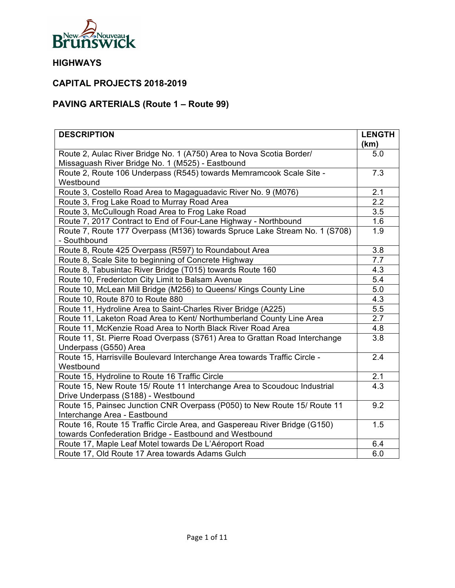

## **CAPITAL PROJECTS 2018-2019**

# **PAVING ARTERIALS (Route 1 – Route 99)**

| <b>DESCRIPTION</b>                                                                                  | <b>LENGTH</b>    |
|-----------------------------------------------------------------------------------------------------|------------------|
|                                                                                                     | (km)             |
| Route 2, Aulac River Bridge No. 1 (A750) Area to Nova Scotia Border/                                | 5.0              |
| Missaguash River Bridge No. 1 (M525) - Eastbound                                                    |                  |
| Route 2, Route 106 Underpass (R545) towards Memramcook Scale Site -                                 | 7.3              |
| Westbound                                                                                           |                  |
| Route 3, Costello Road Area to Magaguadavic River No. 9 (M076)                                      | 2.1<br>2.2       |
| Route 3, Frog Lake Road to Murray Road Area                                                         |                  |
| Route 3, McCullough Road Area to Frog Lake Road                                                     | 3.5              |
| Route 7, 2017 Contract to End of Four-Lane Highway - Northbound                                     | 1.6              |
| Route 7, Route 177 Overpass (M136) towards Spruce Lake Stream No. 1 (S708)<br>- Southbound          | 1.9              |
| Route 8, Route 425 Overpass (R597) to Roundabout Area                                               | $\overline{3.8}$ |
| Route 8, Scale Site to beginning of Concrete Highway                                                | 7.7              |
| Route 8, Tabusintac River Bridge (T015) towards Route 160                                           | 4.3              |
| Route 10, Fredericton City Limit to Balsam Avenue                                                   | 5.4              |
| Route 10, McLean Mill Bridge (M256) to Queens/ Kings County Line                                    | 5.0              |
| Route 10, Route 870 to Route 880                                                                    | 4.3              |
| Route 11, Hydroline Area to Saint-Charles River Bridge (A225)                                       | 5.5              |
| Route 11, Laketon Road Area to Kent/ Northumberland County Line Area                                | 2.7              |
| Route 11, McKenzie Road Area to North Black River Road Area                                         | 4.8              |
| Route 11, St. Pierre Road Overpass (S761) Area to Grattan Road Interchange<br>Underpass (G550) Area | 3.8              |
| Route 15, Harrisville Boulevard Interchange Area towards Traffic Circle -<br>Westbound              | 2.4              |
| Route 15, Hydroline to Route 16 Traffic Circle                                                      | 2.1              |
| Route 15, New Route 15/ Route 11 Interchange Area to Scoudouc Industrial                            | 4.3              |
| Drive Underpass (S188) - Westbound                                                                  |                  |
| Route 15, Painsec Junction CNR Overpass (P050) to New Route 15/ Route 11                            | 9.2              |
| Interchange Area - Eastbound                                                                        |                  |
| Route 16, Route 15 Traffic Circle Area, and Gaspereau River Bridge (G150)                           | 1.5              |
| towards Confederation Bridge - Eastbound and Westbound                                              |                  |
| Route 17, Maple Leaf Motel towards De L'Aéroport Road                                               | 6.4              |
| Route 17, Old Route 17 Area towards Adams Gulch                                                     | 6.0              |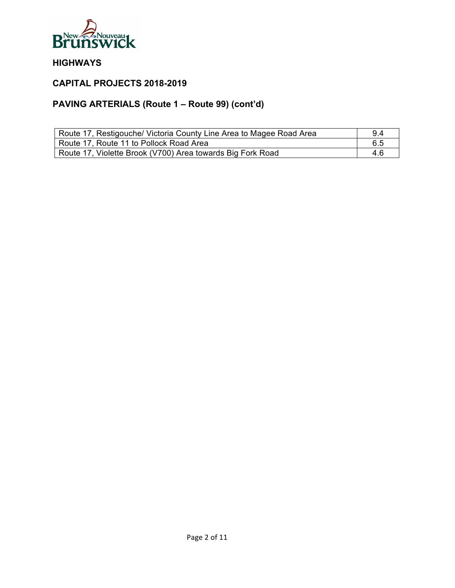

## **CAPITAL PROJECTS 2018-2019**

# **PAVING ARTERIALS (Route 1 – Route 99) (cont'd)**

| Route 17, Restigouche/ Victoria County Line Area to Magee Road Area | 9.4 |
|---------------------------------------------------------------------|-----|
| Route 17, Route 11 to Pollock Road Area                             | 6.5 |
| Route 17, Violette Brook (V700) Area towards Big Fork Road          | 4.6 |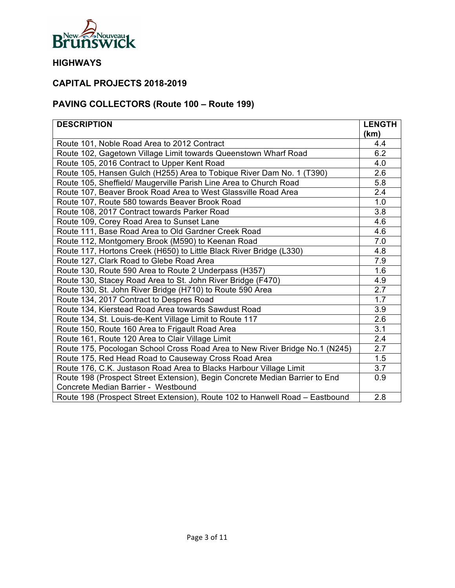

## **CAPITAL PROJECTS 2018-2019**

# **PAVING COLLECTORS (Route 100 – Route 199)**

| <b>DESCRIPTION</b>                                                           | <b>LENGTH</b> |
|------------------------------------------------------------------------------|---------------|
|                                                                              | (km)          |
| Route 101, Noble Road Area to 2012 Contract                                  | 4.4           |
| Route 102, Gagetown Village Limit towards Queenstown Wharf Road              | 6.2           |
| Route 105, 2016 Contract to Upper Kent Road                                  | 4.0           |
| Route 105, Hansen Gulch (H255) Area to Tobique River Dam No. 1 (T390)        | 2.6           |
| Route 105, Sheffield/ Maugerville Parish Line Area to Church Road            | 5.8           |
| Route 107, Beaver Brook Road Area to West Glassville Road Area               | 2.4           |
| Route 107, Route 580 towards Beaver Brook Road                               | 1.0           |
| Route 108, 2017 Contract towards Parker Road                                 | 3.8           |
| Route 109, Corey Road Area to Sunset Lane                                    | 4.6           |
| Route 111, Base Road Area to Old Gardner Creek Road                          | 4.6           |
| Route 112, Montgomery Brook (M590) to Keenan Road                            | 7.0           |
| Route 117, Hortons Creek (H650) to Little Black River Bridge (L330)          | 4.8           |
| Route 127, Clark Road to Glebe Road Area                                     | 7.9           |
| Route 130, Route 590 Area to Route 2 Underpass (H357)                        | 1.6           |
| Route 130, Stacey Road Area to St. John River Bridge (F470)                  | 4.9           |
| Route 130, St. John River Bridge (H710) to Route 590 Area                    | 2.7           |
| Route 134, 2017 Contract to Despres Road                                     | 1.7           |
| Route 134, Kierstead Road Area towards Sawdust Road                          | 3.9           |
| Route 134, St. Louis-de-Kent Village Limit to Route 117                      | 2.6           |
| Route 150, Route 160 Area to Frigault Road Area                              | 3.1           |
| Route 161, Route 120 Area to Clair Village Limit                             | 2.4           |
| Route 175, Pocologan School Cross Road Area to New River Bridge No.1 (N245)  | 2.7           |
| Route 175, Red Head Road to Causeway Cross Road Area                         | 1.5           |
| Route 176, C.K. Justason Road Area to Blacks Harbour Village Limit           | 3.7           |
| Route 198 (Prospect Street Extension), Begin Concrete Median Barrier to End  | 0.9           |
| Concrete Median Barrier - Westbound                                          |               |
| Route 198 (Prospect Street Extension), Route 102 to Hanwell Road - Eastbound | 2.8           |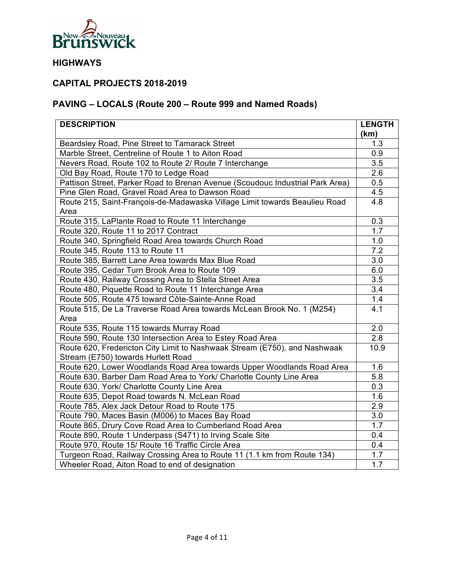

## **CAPITAL PROJECTS 2018-2019**

# **PAVING – LOCALS (Route 200 – Route 999 and Named Roads)**

| <b>DESCRIPTION</b>                                                            | <b>LENGTH</b>    |
|-------------------------------------------------------------------------------|------------------|
|                                                                               | (km)             |
| Beardsley Road, Pine Street to Tamarack Street                                | 1.3              |
| Marble Street, Centreline of Route 1 to Aiton Road                            | 0.9              |
| Nevers Road, Route 102 to Route 2/ Route 7 Interchange                        | 3.5              |
| Old Bay Road, Route 170 to Ledge Road                                         | 2.6              |
| Pattison Street, Parker Road to Brenan Avenue (Scoudouc Industrial Park Area) | 0.5              |
| Pine Glen Road, Gravel Road Area to Dawson Road                               | 4.5              |
| Route 215, Saint-François-de-Madawaska Village Limit towards Beaulieu Road    | 4.8              |
| Area                                                                          |                  |
| Route 315, LaPlante Road to Route 11 Interchange                              | 0.3              |
| Route 320, Route 11 to 2017 Contract                                          | 1.7              |
| Route 340, Springfield Road Area towards Church Road                          | 1.0              |
| Route 345, Route 113 to Route 11                                              | $\overline{7.2}$ |
| Route 385, Barrett Lane Area towards Max Blue Road                            | 3.0              |
| Route 395, Cedar Turn Brook Area to Route 109                                 | 6.0              |
| Route 430, Railway Crossing Area to Stella Street Area                        | 3.5              |
| Route 480, Piquette Road to Route 11 Interchange Area                         | 3.4              |
| Route 505, Route 475 toward Côte-Sainte-Anne Road                             | 1.4              |
| Route 515, De La Traverse Road Area towards McLean Brook No. 1 (M254)         | 4.1              |
| Area                                                                          |                  |
| Route 535, Route 115 towards Murray Road                                      | 2.0              |
| Route 590, Route 130 Intersection Area to Estey Road Area                     | 2.8              |
| Route 620, Fredericton City Limit to Nashwaak Stream (E750), and Nashwaak     | 10.9             |
| Stream (E750) towards Hurlett Road                                            |                  |
| Route 620, Lower Woodlands Road Area towards Upper Woodlands Road Area        | 1.6              |
| Route 630, Barber Dam Road Area to York/ Charlotte County Line Area           | 5.8              |
| Route 630, York/ Charlotte County Line Area                                   | 0.3              |
| Route 635, Depot Road towards N. McLean Road                                  | 1.6              |
| Route 785, Alex Jack Detour Road to Route 175                                 | 2.9              |
| Route 790, Maces Basin (M006) to Maces Bay Road                               | 3.0              |
| Route 865, Drury Cove Road Area to Cumberland Road Area                       | 1.7              |
| Route 890, Route 1 Underpass (S471) to Irving Scale Site                      | 0.4              |
| Route 970, Route 15/ Route 16 Traffic Circle Area                             | 0.4              |
| Turgeon Road, Railway Crossing Area to Route 11 (1.1 km from Route 134)       | 1.7              |
| Wheeler Road, Aiton Road to end of designation                                | 1.7              |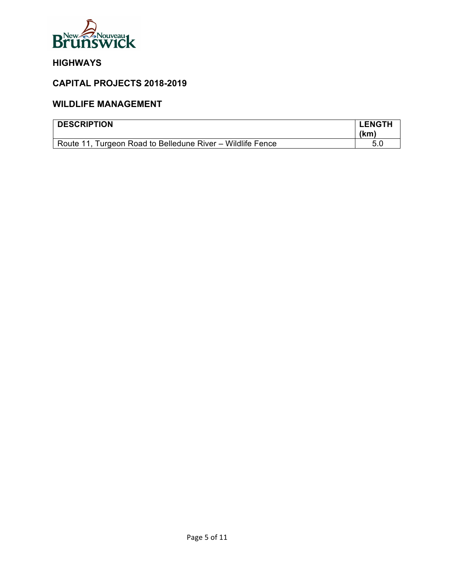

## **CAPITAL PROJECTS 2018-2019**

#### **WILDLIFE MANAGEMENT**

| <b>DESCRIPTION</b>                                         | <b>LENGTH</b><br>(km) |
|------------------------------------------------------------|-----------------------|
| Route 11, Turgeon Road to Belledune River – Wildlife Fence |                       |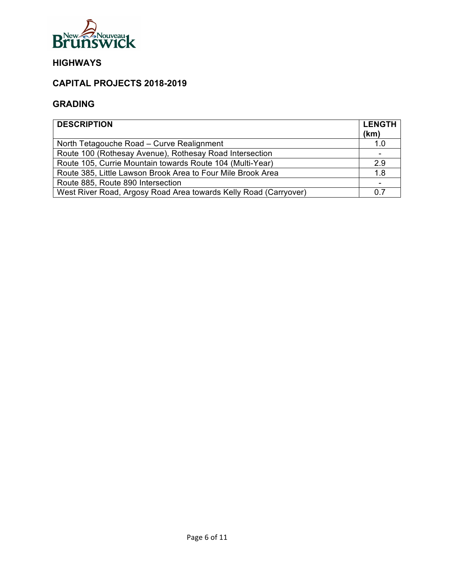

### **CAPITAL PROJECTS 2018-2019**

#### **GRADING**

| <b>DESCRIPTION</b>                                               | <b>LENGTH</b><br>(km) |
|------------------------------------------------------------------|-----------------------|
| North Tetagouche Road - Curve Realignment                        | 1.0                   |
| Route 100 (Rothesay Avenue), Rothesay Road Intersection          |                       |
| Route 105, Currie Mountain towards Route 104 (Multi-Year)        | 2.9                   |
| Route 385, Little Lawson Brook Area to Four Mile Brook Area      | 1.8                   |
| Route 885, Route 890 Intersection                                |                       |
| West River Road, Argosy Road Area towards Kelly Road (Carryover) | 0.7                   |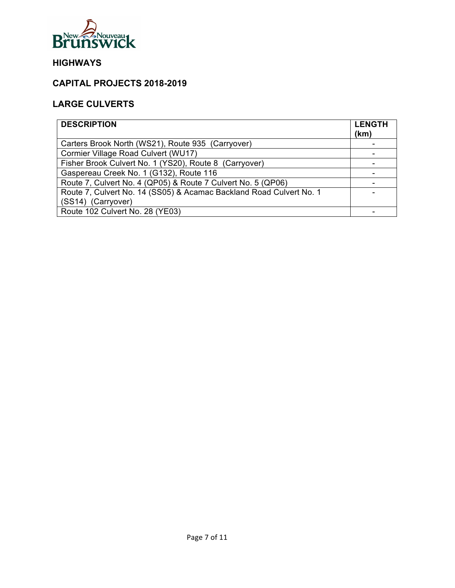

### **CAPITAL PROJECTS 2018-2019**

# **LARGE CULVERTS**

| <b>DESCRIPTION</b>                                                  | <b>LENGTH</b><br>(km) |
|---------------------------------------------------------------------|-----------------------|
| Carters Brook North (WS21), Route 935 (Carryover)                   |                       |
| Cormier Village Road Culvert (WU17)                                 |                       |
| Fisher Brook Culvert No. 1 (YS20), Route 8 (Carryover)              |                       |
| Gaspereau Creek No. 1 (G132), Route 116                             |                       |
| Route 7, Culvert No. 4 (QP05) & Route 7 Culvert No. 5 (QP06)        |                       |
| Route 7, Culvert No. 14 (SS05) & Acamac Backland Road Culvert No. 1 |                       |
| (SS14) (Carryover)                                                  |                       |
| Route 102 Culvert No. 28 (YE03)                                     |                       |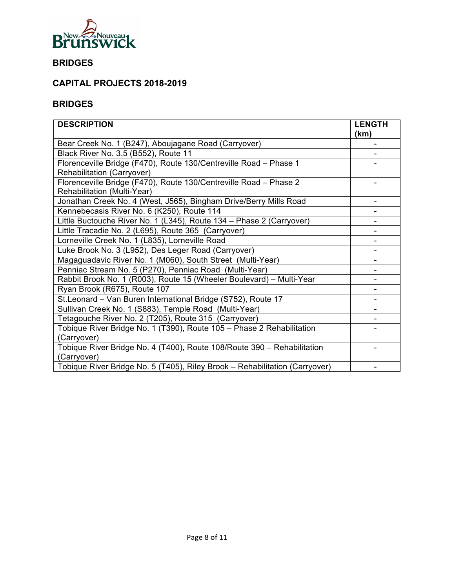

## **BRIDGES**

## **CAPITAL PROJECTS 2018-2019**

#### **BRIDGES**

| <b>DESCRIPTION</b>                                                          | <b>LENGTH</b><br>(km) |
|-----------------------------------------------------------------------------|-----------------------|
| Bear Creek No. 1 (B247), Aboujagane Road (Carryover)                        |                       |
| Black River No. 3.5 (B552), Route 11                                        |                       |
| Florenceville Bridge (F470), Route 130/Centreville Road - Phase 1           |                       |
| Rehabilitation (Carryover)                                                  |                       |
| Florenceville Bridge (F470), Route 130/Centreville Road - Phase 2           |                       |
| Rehabilitation (Multi-Year)                                                 |                       |
| Jonathan Creek No. 4 (West, J565), Bingham Drive/Berry Mills Road           |                       |
| Kennebecasis River No. 6 (K250), Route 114                                  |                       |
| Little Buctouche River No. 1 (L345), Route 134 - Phase 2 (Carryover)        |                       |
| Little Tracadie No. 2 (L695), Route 365 (Carryover)                         |                       |
| Lorneville Creek No. 1 (L835), Lorneville Road                              |                       |
| Luke Brook No. 3 (L952), Des Leger Road (Carryover)                         |                       |
| Magaguadavic River No. 1 (M060), South Street (Multi-Year)                  |                       |
| Penniac Stream No. 5 (P270), Penniac Road (Multi-Year)                      |                       |
| Rabbit Brook No. 1 (R003), Route 15 (Wheeler Boulevard) - Multi-Year        |                       |
| Ryan Brook (R675), Route 107                                                |                       |
| St.Leonard - Van Buren International Bridge (S752), Route 17                |                       |
| Sullivan Creek No. 1 (S883), Temple Road (Multi-Year)                       |                       |
| Tetagouche River No. 2 (T205), Route 315 (Carryover)                        |                       |
| Tobique River Bridge No. 1 (T390), Route 105 - Phase 2 Rehabilitation       |                       |
| (Carryover)                                                                 |                       |
| Tobique River Bridge No. 4 (T400), Route 108/Route 390 - Rehabilitation     |                       |
| (Carryover)                                                                 |                       |
| Tobique River Bridge No. 5 (T405), Riley Brook - Rehabilitation (Carryover) |                       |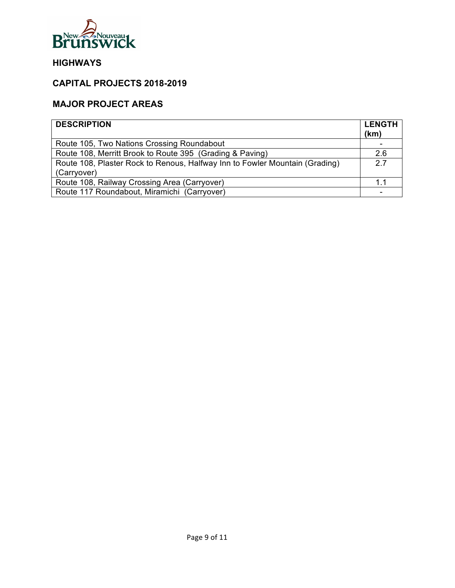

### **CAPITAL PROJECTS 2018-2019**

#### **MAJOR PROJECT AREAS**

| <b>DESCRIPTION</b>                                                          | <b>LENGTH</b><br>(km) |
|-----------------------------------------------------------------------------|-----------------------|
| Route 105, Two Nations Crossing Roundabout                                  |                       |
| Route 108, Merritt Brook to Route 395 (Grading & Paving)                    | 2.6                   |
| Route 108, Plaster Rock to Renous, Halfway Inn to Fowler Mountain (Grading) | 2.7                   |
| (Carryover)                                                                 |                       |
| Route 108, Railway Crossing Area (Carryover)                                | 1.1                   |
| Route 117 Roundabout, Miramichi (Carryover)                                 |                       |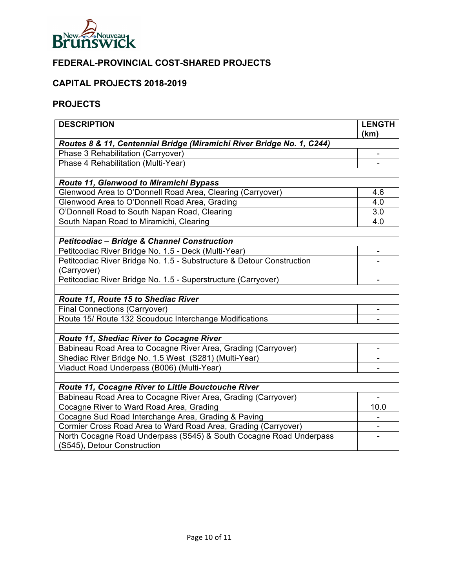

# **FEDERAL-PROVINCIAL COST-SHARED PROJECTS**

### **CAPITAL PROJECTS 2018-2019**

#### **PROJECTS**

| <b>DESCRIPTION</b>                                                    | <b>LENGTH</b><br>(km)    |
|-----------------------------------------------------------------------|--------------------------|
| Routes 8 & 11, Centennial Bridge (Miramichi River Bridge No. 1, C244) |                          |
| Phase 3 Rehabilitation (Carryover)                                    | $\overline{\phantom{m}}$ |
| Phase 4 Rehabilitation (Multi-Year)                                   |                          |
|                                                                       |                          |
| Route 11, Glenwood to Miramichi Bypass                                |                          |
| Glenwood Area to O'Donnell Road Area, Clearing (Carryover)            | 4.6                      |
| Glenwood Area to O'Donnell Road Area, Grading                         | 4.0                      |
| O'Donnell Road to South Napan Road, Clearing                          | 3.0                      |
| South Napan Road to Miramichi, Clearing                               | 4.0                      |
|                                                                       |                          |
| <b>Petitcodiac - Bridge &amp; Channel Construction</b>                |                          |
| Petitcodiac River Bridge No. 1.5 - Deck (Multi-Year)                  | L,                       |
| Petitcodiac River Bridge No. 1.5 - Substructure & Detour Construction |                          |
| (Carryover)                                                           |                          |
| Petitcodiac River Bridge No. 1.5 - Superstructure (Carryover)         | Ξ.                       |
|                                                                       |                          |
| Route 11, Route 15 to Shediac River                                   |                          |
| <b>Final Connections (Carryover)</b>                                  |                          |
| Route 15/ Route 132 Scoudouc Interchange Modifications                |                          |
|                                                                       |                          |
| Route 11, Shediac River to Cocagne River                              |                          |
| Babineau Road Area to Cocagne River Area, Grading (Carryover)         |                          |
| Shediac River Bridge No. 1.5 West (S281) (Multi-Year)                 |                          |
| Viaduct Road Underpass (B006) (Multi-Year)                            |                          |
|                                                                       |                          |
| Route 11, Cocagne River to Little Bouctouche River                    |                          |
| Babineau Road Area to Cocagne River Area, Grading (Carryover)         |                          |
| Cocagne River to Ward Road Area, Grading                              | 10.0                     |
| Cocagne Sud Road Interchange Area, Grading & Paving                   |                          |
| Cormier Cross Road Area to Ward Road Area, Grading (Carryover)        |                          |
| North Cocagne Road Underpass (S545) & South Cocagne Road Underpass    |                          |
| (S545), Detour Construction                                           |                          |